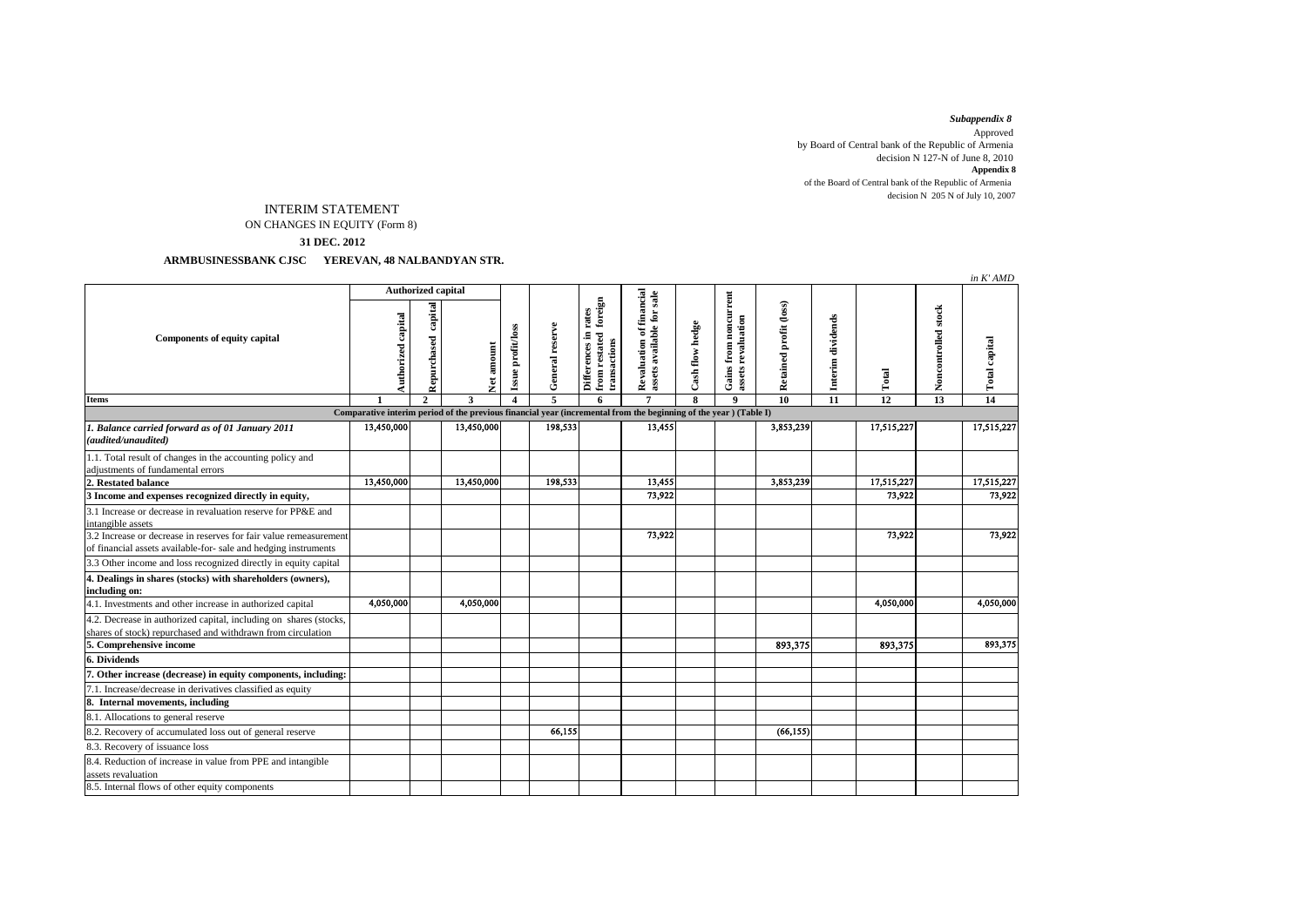## *Subappendix 8*

 decision N 205 N of July 10, 2007 Approved by Board of Central bank of the Republic of Armenia decision N 127-N of June 8, 2010 **Appendix 8** of the Board of Central bank of the Republic of Armenia

## ON CHANGES IN EQUITY (Form 8) INTERIM STATEMENT

**31 DEC. 2012**

 **ARMBUSINESSBANK CJSC YEREVAN, 48 NALBANDYAN STR.**

|                                                                                                                                      |                           |                        |            |                       |                 |                                                                     |                                                       |                 |                                             |                        |                   |                 |                     | in K'AMD             |
|--------------------------------------------------------------------------------------------------------------------------------------|---------------------------|------------------------|------------|-----------------------|-----------------|---------------------------------------------------------------------|-------------------------------------------------------|-----------------|---------------------------------------------|------------------------|-------------------|-----------------|---------------------|----------------------|
|                                                                                                                                      | <b>Authorized capital</b> |                        |            |                       |                 |                                                                     |                                                       |                 |                                             |                        |                   |                 |                     |                      |
| <b>Components of equity capital</b>                                                                                                  | Authorized capital        | capital<br>Repurchased | Net amount | Issue profit/loss     | General reserve | foreign<br>rates<br>Differences in<br>from restated<br>transactions | Revaluation of financial<br>assets available for sale | Cash flow hedge | Gains from noncurrent<br>assets revaluation | Retained profit (loss) | Interim dividends | Total           | Noncontrolled stock | <b>Total capital</b> |
| <b>Items</b>                                                                                                                         |                           | $\mathbf{2}$           | 3          | $\boldsymbol{\Delta}$ | 5               | 6                                                                   | $\overline{7}$                                        | 8               | 9                                           | 10                     | 11                | $\overline{12}$ | 13                  | 14                   |
| Comparative interim period of the previous financial year (incremental from the beginning of the year) (Table I)                     |                           |                        |            |                       |                 |                                                                     |                                                       |                 |                                             |                        |                   |                 |                     |                      |
| 1. Balance carried forward as of 01 January 2011<br>(audited/unaudited)                                                              | 13,450,000                |                        | 13,450,000 |                       | 198,533         |                                                                     | 13,455                                                |                 |                                             | 3,853,239              |                   | 17,515,227      |                     | 17,515,227           |
| 1.1. Total result of changes in the accounting policy and<br>adjustments of fundamental errors                                       |                           |                        |            |                       |                 |                                                                     |                                                       |                 |                                             |                        |                   |                 |                     |                      |
| 2. Restated balance                                                                                                                  | 13,450,000                |                        | 13,450,000 |                       | 198,533         |                                                                     | 13,455                                                |                 |                                             | 3,853,239              |                   | 17,515,227      |                     | 17,515,227           |
| 3 Income and expenses recognized directly in equity,                                                                                 |                           |                        |            |                       |                 |                                                                     | 73,922                                                |                 |                                             |                        |                   | 73,922          |                     | 73,922               |
| 3.1 Increase or decrease in revaluation reserve for PP&E and<br>intangible assets                                                    |                           |                        |            |                       |                 |                                                                     |                                                       |                 |                                             |                        |                   |                 |                     |                      |
| 3.2 Increase or decrease in reserves for fair value remeasurement<br>of financial assets available-for- sale and hedging instruments |                           |                        |            |                       |                 |                                                                     | 73,922                                                |                 |                                             |                        |                   | 73,922          |                     | 73,922               |
| 3.3 Other income and loss recognized directly in equity capital                                                                      |                           |                        |            |                       |                 |                                                                     |                                                       |                 |                                             |                        |                   |                 |                     |                      |
| 4. Dealings in shares (stocks) with shareholders (owners),                                                                           |                           |                        |            |                       |                 |                                                                     |                                                       |                 |                                             |                        |                   |                 |                     |                      |
| including on:                                                                                                                        |                           |                        |            |                       |                 |                                                                     |                                                       |                 |                                             |                        |                   |                 |                     |                      |
| 4.1. Investments and other increase in authorized capital                                                                            | 4,050,000                 |                        | 4,050,000  |                       |                 |                                                                     |                                                       |                 |                                             |                        |                   | 4,050,000       |                     | 4,050,000            |
| 4.2. Decrease in authorized capital, including on shares (stocks,<br>shares of stock) repurchased and withdrawn from circulation     |                           |                        |            |                       |                 |                                                                     |                                                       |                 |                                             |                        |                   |                 |                     |                      |
| 5. Comprehensive income                                                                                                              |                           |                        |            |                       |                 |                                                                     |                                                       |                 |                                             | 893,375                |                   | 893,375         |                     | 893,375              |
| 6. Dividends                                                                                                                         |                           |                        |            |                       |                 |                                                                     |                                                       |                 |                                             |                        |                   |                 |                     |                      |
| 7. Other increase (decrease) in equity components, including:                                                                        |                           |                        |            |                       |                 |                                                                     |                                                       |                 |                                             |                        |                   |                 |                     |                      |
| 7.1. Increase/decrease in derivatives classified as equity                                                                           |                           |                        |            |                       |                 |                                                                     |                                                       |                 |                                             |                        |                   |                 |                     |                      |
| 8. Internal movements, including                                                                                                     |                           |                        |            |                       |                 |                                                                     |                                                       |                 |                                             |                        |                   |                 |                     |                      |
| 8.1. Allocations to general reserve                                                                                                  |                           |                        |            |                       |                 |                                                                     |                                                       |                 |                                             |                        |                   |                 |                     |                      |
| 8.2. Recovery of accumulated loss out of general reserve                                                                             |                           |                        |            |                       | 66.155          |                                                                     |                                                       |                 |                                             | (66, 155)              |                   |                 |                     |                      |
| 8.3. Recovery of issuance loss                                                                                                       |                           |                        |            |                       |                 |                                                                     |                                                       |                 |                                             |                        |                   |                 |                     |                      |
| 8.4. Reduction of increase in value from PPE and intangible<br>assets revaluation                                                    |                           |                        |            |                       |                 |                                                                     |                                                       |                 |                                             |                        |                   |                 |                     |                      |
| 8.5. Internal flows of other equity components                                                                                       |                           |                        |            |                       |                 |                                                                     |                                                       |                 |                                             |                        |                   |                 |                     |                      |